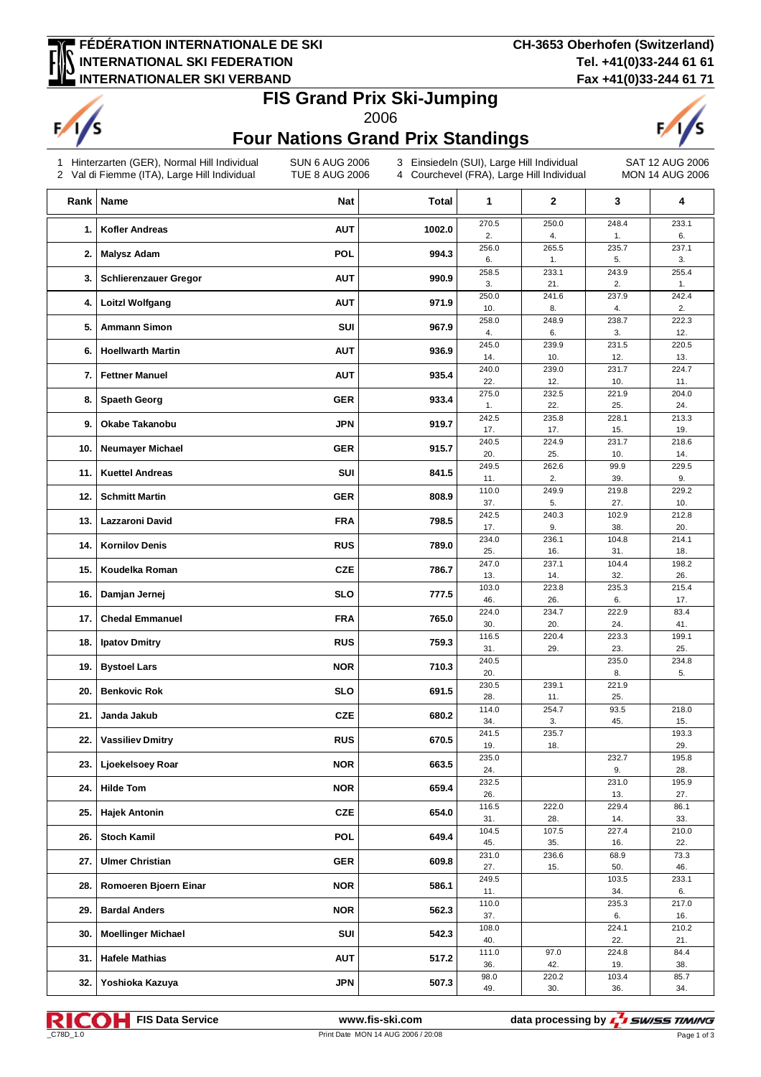## **FÉDÉRATION INTERNATIONALE DE SKI INTERNATIONAL SKI FEDERATION INTERNATIONALER SKI VERBAND**

**CH-3653 Oberhofen (Switzerland) Tel. +41(0)33-244 61 61 Fax +41(0)33-244 61 71**



## **FIS Grand Prix Ski-Jumping**

2006



**Four Nations Grand Prix Standings**

1 Hinterzarten (GER), Normal Hill Individual SUN 6 AUG 2006<br>2 Val di Fiemme (ITA), Large Hill Individual TUE 8 AUG 2006 2 Val di Fiemme (ITA), Large Hill Individual

3 Einsiedeln (SUI), Large Hill Individual SAT 12 AUG 2006<br>4 Courchevel (FRA), Large Hill Individual MON 14 AUG 2006 4 Courchevel (FRA), Large Hill Individual

| Rank | Name<br><b>Nat</b>                         | Total  | 1            | $\mathbf{2}$ | 3            | 4            |
|------|--------------------------------------------|--------|--------------|--------------|--------------|--------------|
|      |                                            |        | 270.5        | 250.0        | 248.4        | 233.1        |
| 1.   | <b>Kofler Andreas</b><br><b>AUT</b>        | 1002.0 | 2.           | 4.           | 1.           | 6.           |
| 2.   | <b>POL</b><br><b>Malysz Adam</b>           | 994.3  | 256.0<br>6.  | 265.5<br>1.  | 235.7<br>5.  | 237.1<br>3.  |
| 3.   | <b>AUT</b><br><b>Schlierenzauer Gregor</b> | 990.9  | 258.5        | 233.1        | 243.9        | 255.4        |
| 4.   | <b>Loitzl Wolfgang</b><br>AUT              | 971.9  | 3.<br>250.0  | 21.<br>241.6 | 2.<br>237.9  | 1.<br>242.4  |
|      |                                            |        | 10.<br>258.0 | 8.<br>248.9  | 4.<br>238.7  | 2.<br>222.3  |
| 5.   | SUI<br><b>Ammann Simon</b>                 | 967.9  | 4.           | 6.           | 3.           | 12.          |
| 6.   | <b>Hoellwarth Martin</b><br><b>AUT</b>     | 936.9  | 245.0<br>14. | 239.9<br>10. | 231.5<br>12. | 220.5<br>13. |
| 7.   | <b>AUT</b><br><b>Fettner Manuel</b>        | 935.4  | 240.0<br>22. | 239.0<br>12. | 231.7<br>10. | 224.7<br>11. |
| 8.   | <b>GER</b><br><b>Spaeth Georg</b>          | 933.4  | 275.0        | 232.5        | 221.9        | 204.0        |
|      |                                            |        | 1.<br>242.5  | 22.<br>235.8 | 25.<br>228.1 | 24.<br>213.3 |
| 9.   | <b>JPN</b><br>Okabe Takanobu               | 919.7  | 17.<br>240.5 | 17.<br>224.9 | 15.<br>231.7 | 19.<br>218.6 |
| 10.  | <b>Neumayer Michael</b><br><b>GER</b>      | 915.7  | 20.          | 25.          | 10.          | 14.          |
| 11.  | SUI<br><b>Kuettel Andreas</b>              | 841.5  | 249.5<br>11. | 262.6<br>2.  | 99.9<br>39.  | 229.5<br>9.  |
| 12.  | <b>GER</b><br><b>Schmitt Martin</b>        | 808.9  | 110.0        | 249.9        | 219.8        | 229.2        |
|      |                                            |        | 37.<br>242.5 | 5.<br>240.3  | 27.<br>102.9 | 10.<br>212.8 |
| 13.  | <b>FRA</b><br>Lazzaroni David              | 798.5  | 17.<br>234.0 | 9.<br>236.1  | 38.<br>104.8 | 20.<br>214.1 |
| 14.  | <b>RUS</b><br><b>Kornilov Denis</b>        | 789.0  | 25.          | 16.          | 31.          | 18.          |
| 15.  | <b>CZE</b><br>Koudelka Roman               | 786.7  | 247.0<br>13. | 237.1<br>14. | 104.4<br>32. | 198.2<br>26. |
| 16.  | Damjan Jernej<br><b>SLO</b>                | 777.5  | 103.0<br>46. | 223.8<br>26. | 235.3<br>6.  | 215.4<br>17. |
| 17.  | <b>Chedal Emmanuel</b><br><b>FRA</b>       | 765.0  | 224.0        | 234.7        | 222.9        | 83.4         |
|      |                                            |        | 30.<br>116.5 | 20.<br>220.4 | 24.<br>223.3 | 41.<br>199.1 |
| 18.  | <b>RUS</b><br><b>Ipatov Dmitry</b>         | 759.3  | 31.          | 29.          | 23.          | 25.          |
| 19.  | <b>NOR</b><br><b>Bystoel Lars</b>          | 710.3  | 240.5<br>20. |              | 235.0<br>8.  | 234.8<br>5.  |
| 20.  | <b>SLO</b><br><b>Benkovic Rok</b>          | 691.5  | 230.5<br>28. | 239.1<br>11. | 221.9<br>25. |              |
| 21.  | Janda Jakub<br><b>CZE</b>                  | 680.2  | 114.0        | 254.7        | 93.5         | 218.0        |
| 22.  | <b>RUS</b><br><b>Vassiliev Dmitry</b>      | 670.5  | 34.<br>241.5 | 3.<br>235.7  | 45.          | 15.<br>193.3 |
|      |                                            |        | 19.<br>235.0 | 18.          | 232.7        | 29.<br>195.8 |
|      | 23. Ljoekelsoey Roar<br><b>NOR</b>         | 663.5  | 24.          |              | 9.           | 28.          |
| 24.  | <b>Hilde Tom</b><br><b>NOR</b>             | 659.4  | 232.5<br>26. |              | 231.0<br>13. | 195.9<br>27. |
| 25.  | CZE<br><b>Hajek Antonin</b>                | 654.0  | 116.5<br>31. | 222.0<br>28. | 229.4<br>14. | 86.1<br>33.  |
| 26.  | <b>POL</b><br><b>Stoch Kamil</b>           | 649.4  | 104.5        | 107.5        | 227.4        | 210.0        |
|      |                                            |        | 45.<br>231.0 | 35.<br>236.6 | 16.<br>68.9  | 22.<br>73.3  |
| 27.  | <b>Ulmer Christian</b><br><b>GER</b>       | 609.8  | 27.<br>249.5 | 15.          | 50.<br>103.5 | 46.<br>233.1 |
| 28.  | Romoeren Bjoern Einar<br><b>NOR</b>        | 586.1  | 11.          |              | 34.          | 6.           |
| 29.  | <b>NOR</b><br><b>Bardal Anders</b>         | 562.3  | 110.0<br>37. |              | 235.3<br>6.  | 217.0<br>16. |
| 30.  | SUI<br><b>Moellinger Michael</b>           | 542.3  | 108.0        |              | 224.1        | 210.2        |
| 31.  | <b>AUT</b><br><b>Hafele Mathias</b>        | 517.2  | 40.<br>111.0 | 97.0         | 22.<br>224.8 | 21.<br>84.4  |
|      |                                            |        | 36.<br>98.0  | 42.<br>220.2 | 19.<br>103.4 | 38.<br>85.7  |
| 32.  | <b>JPN</b><br>Yoshioka Kazuya              | 507.3  | 49.          | 30.          | 36.          | 34.          |

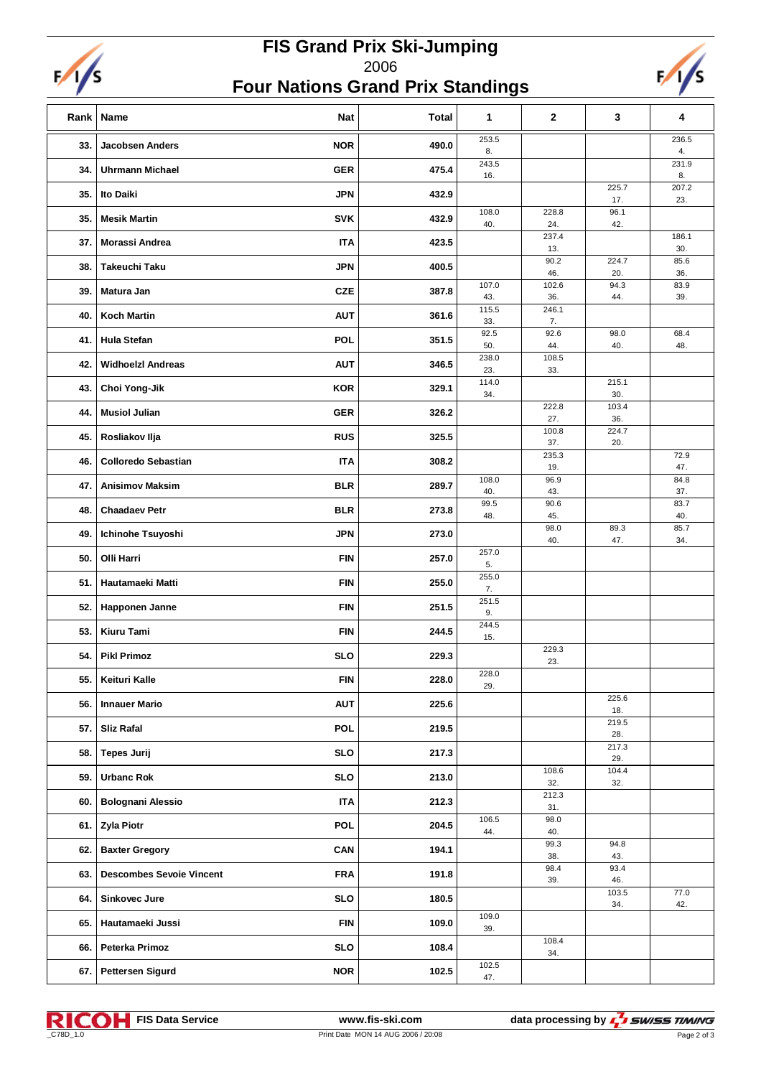

## **FIS Grand Prix Ski-Jumping** 2006



236.5 4.

231.9 8.

207.2 23.

186.1 30.

85.6 36.

83.9 39.

68.4 48.

72.9 47.

84.8 37.

83.7 40.

85.7 34.

| 77   |                            | <b>Four Nations Grand Prix Standings</b> |              |              |              |              | $\tilde{\phantom{a}}$<br>ч, |
|------|----------------------------|------------------------------------------|--------------|--------------|--------------|--------------|-----------------------------|
| Rank | <b>Name</b>                | <b>Nat</b>                               | <b>Total</b> | 1            | $\mathbf{2}$ | 3            | 4                           |
| 33.  | <b>Jacobsen Anders</b>     | <b>NOR</b>                               | 490.0        | 253.5<br>8.  |              |              | 236<br>4                    |
| 34.  | <b>Uhrmann Michael</b>     | <b>GER</b>                               | 475.4        | 243.5<br>16. |              |              | 231<br>8                    |
| 35.  | Ito Daiki                  | <b>JPN</b>                               | 432.9        |              |              | 225.7<br>17. | 207<br>23                   |
| 35.  | <b>Mesik Martin</b>        | <b>SVK</b>                               | 432.9        | 108.0<br>40. | 228.8<br>24. | 96.1<br>42.  |                             |
| 37.  | Morassi Andrea             | <b>ITA</b>                               | 423.5        |              | 237.4<br>13. |              | 186<br>30                   |
| 38.  | Takeuchi Taku              | <b>JPN</b>                               | 400.5        |              | 90.2<br>46.  | 224.7<br>20. | 85<br>36                    |
| 39.  | Matura Jan                 | <b>CZE</b>                               | 387.8        | 107.0<br>43. | 102.6<br>36. | 94.3<br>44.  | 83<br>39                    |
| 40.  | <b>Koch Martin</b>         | <b>AUT</b>                               | 361.6        | 115.5        | 246.1        |              |                             |
| 41.  | <b>Hula Stefan</b>         | <b>POL</b>                               | 351.5        | 33.<br>92.5  | 7.<br>92.6   | 98.0         | 68                          |
| 42.  | <b>Widhoelzl Andreas</b>   | <b>AUT</b>                               | 346.5        | 50.<br>238.0 | 44.<br>108.5 | 40.          | 48                          |
| 43.  | Choi Yong-Jik              | <b>KOR</b>                               | 329.1        | 23.<br>114.0 | 33.          | 215.1        |                             |
| 44.  | <b>Musiol Julian</b>       | <b>GER</b>                               | 326.2        | 34.          | 222.8        | 30.<br>103.4 |                             |
| 45.  | Rosliakov II ja            | <b>RUS</b>                               | 325.5        |              | 27.<br>100.8 | 36.<br>224.7 |                             |
| 46.  | <b>Colloredo Sebastian</b> | <b>ITA</b>                               | 308.2        |              | 37.<br>235.3 | 20.          | 72                          |
|      |                            |                                          |              | 108.0        | 19.<br>96.9  |              | 47<br>84                    |
| 47.  | <b>Anisimov Maksim</b>     | <b>BLR</b>                               | 289.7        | 40.<br>99.5  | 43.<br>90.6  |              | 37<br>83                    |
| 48.  | <b>Chaadaev Petr</b>       | <b>BLR</b>                               | 273.8        | 48.          | 45.<br>98.0  | 89.3         | 40<br>85                    |
| 49.  | Ichinohe Tsuyoshi          | <b>JPN</b>                               | 273.0        | 257.0        | 40.          | 47.          | 34                          |
| 50.  | Olli Harri                 | <b>FIN</b>                               | 257.0        | 5.<br>255.0  |              |              |                             |
| 51.  | Hautamaeki Matti           | <b>FIN</b>                               | 255.0        | 7.<br>251.5  |              |              |                             |
| 52.  | Happonen Janne             | <b>FIN</b>                               | 251.5        | 9.           |              |              |                             |
| 53.  | Kiuru Tami                 | <b>FIN</b>                               | 244.5        | 244.5<br>15. |              |              |                             |
|      | 54.   Pikl Primoz          | SLO                                      | 229.3        |              | 229.3<br>23. |              |                             |
| 55.  | Keituri Kalle              | FIN                                      | 228.0        | 228.0<br>29. |              |              |                             |
| 56.  | <b>Innauer Mario</b>       | <b>AUT</b>                               | 225.6        |              |              | 225.6<br>18. |                             |
| 57.  | <b>Sliz Rafal</b>          | <b>POL</b>                               | 219.5        |              |              | 219.5<br>28. |                             |
| 58.  | <b>Tepes Jurij</b>         | <b>SLO</b>                               | 217.3        |              |              | 217.3<br>29. |                             |
| 59.  | <b>Urbanc Rok</b>          | <b>SLO</b>                               | 213.0        |              | 108.6<br>32. | 104.4<br>32. |                             |
|      | 60. Bolognani Alessio      | <b>ITA</b>                               | 212.3        |              | 212.3        |              |                             |

**RICOH** FIS Data Service www.fis-ski.com<br>
Print Date MON 14 AUG 2006 / 20:08

**64. Sinkovec Jure 103.5 SLO** 180.5 **103.5 103.5** 

**61. Zyla Piotr POL 204.5** 106.5

**65.** Hautamaeki Jussi **FIN** 109.0 109.0 109.0

**67.** Pettersen Sigurd **NOR** 102.5 102.5 102.5

**62.** Baxter Gregory **CAN** 194.1 99.3

**63.** Descombes Sevoie Vincent FRA 191.8 98.4

**66.** Peterka Primoz **SLO** 108.4 108.4 108.4

94.8 43.

93.4 46.

34.

31.

98.0 40.

38.

39.

34.

44.

39.

47.

77.0 42.